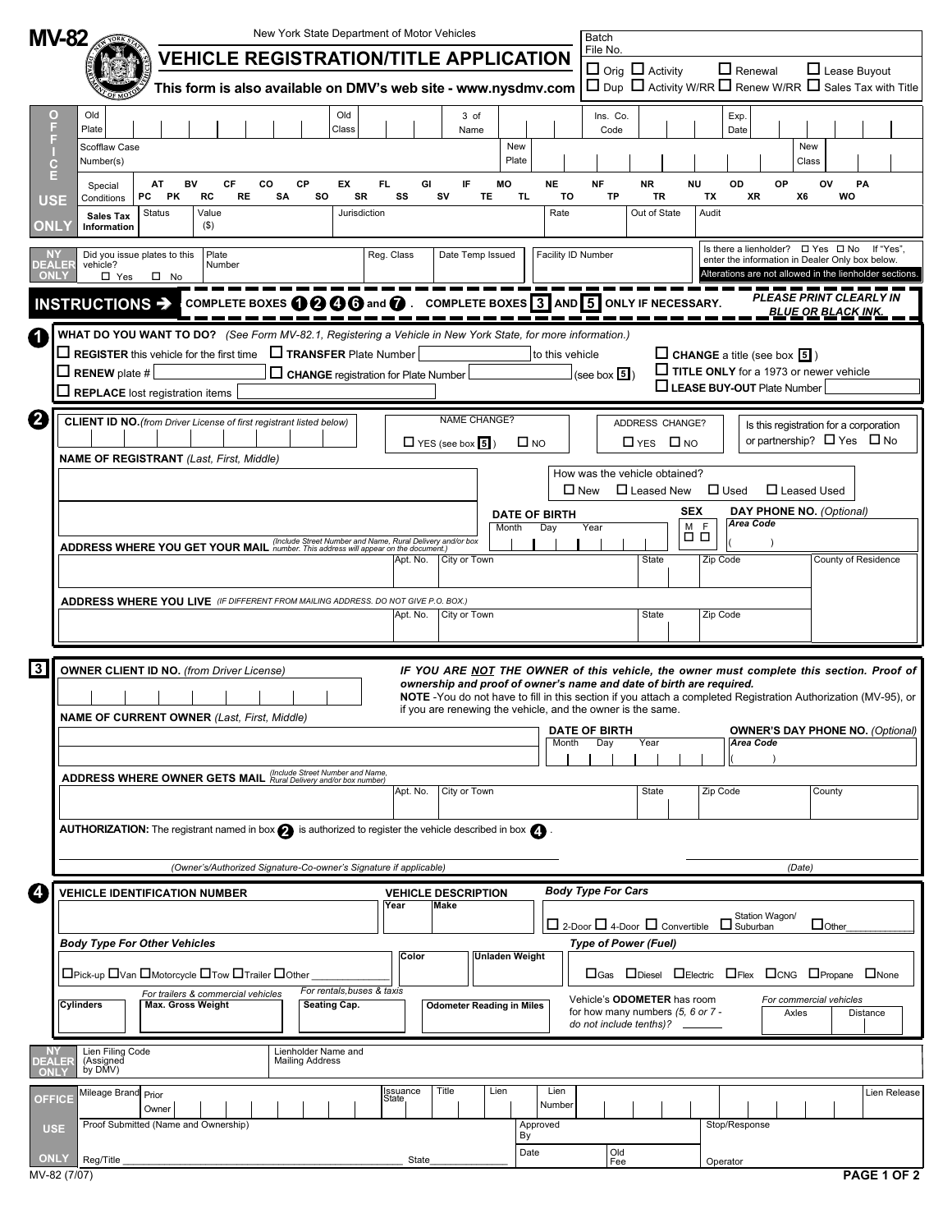|                       | <b>MV-82</b>                                                                                                            |                                                                                                                                                                                                                                                                                                        |                       |          | New York State Department of Motor Vehicles                                            |                    |                                |                                                                                          |              |                                                                                                                                 | Batch                                            |                                                            |                                                    |                                   |                                      |                                                                                          |                    |                     |              |  |
|-----------------------|-------------------------------------------------------------------------------------------------------------------------|--------------------------------------------------------------------------------------------------------------------------------------------------------------------------------------------------------------------------------------------------------------------------------------------------------|-----------------------|----------|----------------------------------------------------------------------------------------|--------------------|--------------------------------|------------------------------------------------------------------------------------------|--------------|---------------------------------------------------------------------------------------------------------------------------------|--------------------------------------------------|------------------------------------------------------------|----------------------------------------------------|-----------------------------------|--------------------------------------|------------------------------------------------------------------------------------------|--------------------|---------------------|--------------|--|
|                       |                                                                                                                         |                                                                                                                                                                                                                                                                                                        |                       |          | <b>VEHICLE REGISTRATION/TITLE APPLICATION</b>                                          |                    |                                |                                                                                          |              |                                                                                                                                 |                                                  | File No.                                                   |                                                    |                                   |                                      |                                                                                          |                    |                     |              |  |
|                       |                                                                                                                         |                                                                                                                                                                                                                                                                                                        |                       |          | This form is also available on DMV's web site - www.nysdmv.com                         |                    |                                |                                                                                          |              |                                                                                                                                 |                                                  |                                                            | $\Box$ Orig $\Box$ Activity                        |                                   | $\Box$ Renewal                       | $\Box$ Dup $\Box$ Activity W/RR $\Box$ Renew W/RR $\Box$ Sales Tax with Title            |                    | $\Box$ Lease Buyout |              |  |
| O<br>F                | Old<br>Plate                                                                                                            |                                                                                                                                                                                                                                                                                                        |                       |          | Old<br>Class                                                                           |                    |                                | 3 of<br>Name                                                                             |              |                                                                                                                                 |                                                  | Ins. Co.<br>Code                                           |                                                    |                                   | Exp.<br>Date                         |                                                                                          |                    |                     |              |  |
| F<br>$\mathbf C$      | Scofflaw Case<br>Number(s)                                                                                              |                                                                                                                                                                                                                                                                                                        |                       |          |                                                                                        |                    |                                |                                                                                          | New<br>Plate |                                                                                                                                 |                                                  |                                                            |                                                    |                                   |                                      |                                                                                          | New<br>Class       |                     |              |  |
| E<br><b>USE</b>       | Special<br>Conditions                                                                                                   | AT<br>BV<br>РC<br>PK                                                                                                                                                                                                                                                                                   | CF<br>RC<br><b>RE</b> | co<br>SA | CP<br>EX<br>so<br>SR                                                                   | FL.<br>SS          | GI                             | IF<br>SV<br>TE                                                                           | MO<br>TL.    | <b>NE</b><br>TO                                                                                                                 | <b>NF</b>                                        | TP                                                         | <b>NR</b><br>TR                                    | <b>NU</b><br>TX                   | OD                                   | OP<br>XR                                                                                 | ov<br>X6           | PA<br>WO            |              |  |
| ONLY                  | <b>Sales Tax</b><br>Information                                                                                         | Status                                                                                                                                                                                                                                                                                                 | Value<br>$($ \$)      |          | Jurisdiction                                                                           |                    |                                |                                                                                          |              | Rate                                                                                                                            |                                                  |                                                            | Out of State                                       | Audit                             |                                      |                                                                                          |                    |                     |              |  |
| DEALER                | vehicle?                                                                                                                | Did you issue plates to this                                                                                                                                                                                                                                                                           | Plate<br>Number       |          |                                                                                        | Reg. Class         |                                | Date Temp Issued                                                                         |              |                                                                                                                                 | Facility ID Number                               |                                                            |                                                    |                                   |                                      | Is there a lienholder? □ Yes □ No<br>enter the information in Dealer Only box below.     |                    |                     | If "Yes"     |  |
| ONLY                  | $\Box$ Yes<br>INSTRUCTIONS >                                                                                            | $\square$ No                                                                                                                                                                                                                                                                                           |                       |          | COMPLETE BOXES $\mathbf{\Theta} \mathbf{\Theta} \mathbf{\Theta}$ and $\mathbf{\Omega}$ |                    |                                | COMPLETE BOXES 3 AND 5 ONLY IF NECESSARY.                                                |              |                                                                                                                                 |                                                  |                                                            |                                                    |                                   |                                      | Alterations are not allowed in the lienholder sections<br><b>PLEASE PRINT CLEARLY IN</b> |                    |                     |              |  |
|                       | WHAT DO YOU WANT TO DO? (See Form MV-82.1, Registering a Vehicle in New York State, for more information.)              |                                                                                                                                                                                                                                                                                                        |                       |          |                                                                                        |                    |                                |                                                                                          |              |                                                                                                                                 |                                                  |                                                            |                                                    |                                   |                                      |                                                                                          | BLUE OR BLACK INK. |                     |              |  |
|                       | $\Box$ REGISTER this vehicle for the first time                                                                         |                                                                                                                                                                                                                                                                                                        |                       |          | TRANSFER Plate Number                                                                  |                    |                                |                                                                                          |              | to this vehicle                                                                                                                 |                                                  |                                                            |                                                    |                                   |                                      | $\Box$ CHANGE a title (see box $\boxed{5}$ )<br>TITLE ONLY for a 1973 or newer vehicle   |                    |                     |              |  |
|                       | $\Box$ RENEW plate #<br>$\Box$ REPLACE lost registration items                                                          |                                                                                                                                                                                                                                                                                                        |                       |          | CHANGE registration for Plate Number                                                   |                    |                                |                                                                                          |              |                                                                                                                                 |                                                  | (see box 5)                                                |                                                    |                                   |                                      | LEASE BUY-OUT Plate Number                                                               |                    |                     |              |  |
| $\mathbf{2}$          | <b>CLIENT ID NO.</b> (from Driver License of first registrant listed below)                                             |                                                                                                                                                                                                                                                                                                        |                       |          |                                                                                        |                    |                                | <b>NAME CHANGE?</b>                                                                      |              |                                                                                                                                 |                                                  |                                                            | ADDRESS CHANGE?                                    |                                   |                                      | Is this registration for a corporation                                                   |                    |                     |              |  |
|                       | <b>NAME OF REGISTRANT</b> (Last, First, Middle)                                                                         |                                                                                                                                                                                                                                                                                                        |                       |          |                                                                                        |                    |                                | $\square$ NO<br>$\Box$ YES (see box $\boxed{5}$ )                                        |              |                                                                                                                                 |                                                  | $\Box$ YES $\Box$ NO                                       |                                                    |                                   | or partnership? $\Box$ Yes $\Box$ No |                                                                                          |                    |                     |              |  |
|                       |                                                                                                                         |                                                                                                                                                                                                                                                                                                        |                       |          |                                                                                        |                    |                                |                                                                                          |              |                                                                                                                                 | $\square$ New                                    |                                                            | How was the vehicle obtained?<br>$\Box$ Leased New |                                   | $\Box$ Used                          |                                                                                          | □ Leased Used      |                     |              |  |
|                       | DATE OF BIRTH                                                                                                           |                                                                                                                                                                                                                                                                                                        |                       |          |                                                                                        |                    |                                |                                                                                          |              |                                                                                                                                 |                                                  | <b>DAY PHONE NO. (Optional)</b><br><b>SEX</b><br>Area Code |                                                    |                                   |                                      |                                                                                          |                    |                     |              |  |
|                       |                                                                                                                         |                                                                                                                                                                                                                                                                                                        |                       |          |                                                                                        |                    |                                |                                                                                          | Month        | Day                                                                                                                             | Year                                             |                                                            |                                                    | $\overline{\square}$<br>F<br>□    |                                      |                                                                                          |                    |                     |              |  |
|                       | ADDRESS WHERE YOU GET YOUR MAIL (Include Street Number and Name, Rural Delivery and/or box<br>City or Town<br>Apt. No.  |                                                                                                                                                                                                                                                                                                        |                       |          |                                                                                        |                    |                                |                                                                                          |              |                                                                                                                                 | State<br>Zip Code<br>County of Residence         |                                                            |                                                    |                                   |                                      |                                                                                          |                    |                     |              |  |
|                       | <b>ADDRESS WHERE YOU LIVE</b> (IF DIFFERENT FROM MAILING ADDRESS. DO NOT GIVE P.O. BOX.)                                |                                                                                                                                                                                                                                                                                                        |                       |          |                                                                                        |                    |                                |                                                                                          |              |                                                                                                                                 |                                                  |                                                            |                                                    |                                   |                                      |                                                                                          |                    |                     |              |  |
|                       |                                                                                                                         |                                                                                                                                                                                                                                                                                                        |                       |          |                                                                                        | Apt. No.           |                                | City or Town                                                                             |              |                                                                                                                                 |                                                  |                                                            | State                                              |                                   | Zip Code                             |                                                                                          |                    |                     |              |  |
| 3                     | <b>OWNER CLIENT ID NO.</b> (from Driver License)                                                                        |                                                                                                                                                                                                                                                                                                        |                       |          |                                                                                        |                    |                                | IF YOU ARE NOT THE OWNER of this vehicle, the owner must complete this section. Proof of |              |                                                                                                                                 |                                                  |                                                            |                                                    |                                   |                                      |                                                                                          |                    |                     |              |  |
|                       |                                                                                                                         |                                                                                                                                                                                                                                                                                                        |                       |          |                                                                                        |                    |                                | ownership and proof of owner's name and date of birth are required.                      |              |                                                                                                                                 |                                                  |                                                            |                                                    |                                   |                                      |                                                                                          |                    |                     |              |  |
|                       |                                                                                                                         | NOTE -You do not have to fill in this section if you attach a completed Registration Authorization (MV-95), or<br>if you are renewing the vehicle, and the owner is the same.<br><b>NAME OF CURRENT OWNER (Last, First, Middle)</b><br><b>DATE OF BIRTH</b><br><b>OWNER'S DAY PHONE NO. (Optional)</b> |                       |          |                                                                                        |                    |                                |                                                                                          |              |                                                                                                                                 |                                                  |                                                            |                                                    |                                   |                                      |                                                                                          |                    |                     |              |  |
|                       |                                                                                                                         |                                                                                                                                                                                                                                                                                                        |                       |          |                                                                                        |                    |                                | Month                                                                                    |              |                                                                                                                                 |                                                  | Day<br>Year                                                |                                                    |                                   | <b>Area Code</b>                     |                                                                                          |                    |                     |              |  |
|                       | ADDRESS WHERE OWNER GETS MAIL (Include Street Number and Name,                                                          |                                                                                                                                                                                                                                                                                                        |                       |          |                                                                                        |                    |                                |                                                                                          |              |                                                                                                                                 |                                                  |                                                            |                                                    |                                   |                                      |                                                                                          |                    |                     |              |  |
|                       |                                                                                                                         |                                                                                                                                                                                                                                                                                                        |                       |          |                                                                                        | Apt. No.           |                                | City or Town                                                                             |              |                                                                                                                                 |                                                  |                                                            | State                                              |                                   | Zip Code                             |                                                                                          | County             |                     |              |  |
|                       | AUTHORIZATION: The registrant named in box $\bigcirc$ is authorized to register the vehicle described in box $\bigcirc$ |                                                                                                                                                                                                                                                                                                        |                       |          |                                                                                        |                    |                                |                                                                                          |              |                                                                                                                                 |                                                  |                                                            |                                                    |                                   |                                      |                                                                                          |                    |                     |              |  |
|                       |                                                                                                                         |                                                                                                                                                                                                                                                                                                        |                       |          | (Owner's/Authorized Signature-Co-owner's Signature if applicable)                      |                    |                                |                                                                                          |              |                                                                                                                                 |                                                  |                                                            |                                                    |                                   |                                      |                                                                                          | (Date)             |                     |              |  |
| 4                     | <b>Body Type For Cars</b><br><b>VEHICLE IDENTIFICATION NUMBER</b><br><b>VEHICLE DESCRIPTION</b><br>Make<br>Year         |                                                                                                                                                                                                                                                                                                        |                       |          |                                                                                        |                    |                                |                                                                                          |              |                                                                                                                                 |                                                  |                                                            |                                                    |                                   |                                      |                                                                                          |                    |                     |              |  |
|                       |                                                                                                                         |                                                                                                                                                                                                                                                                                                        |                       |          |                                                                                        |                    |                                |                                                                                          |              | Station Wagon/<br>$\Box$ Other<br>$\Box$ 2-Door $\Box$ 4-Door $\Box$ Convertible $\Box$ Suburban<br><b>Type of Power (Fuel)</b> |                                                  |                                                            |                                                    |                                   |                                      |                                                                                          |                    |                     |              |  |
|                       | <b>Body Type For Other Vehicles</b><br>□Pick-up □Van □Motorcycle □Tow □Trailer □Other                                   |                                                                                                                                                                                                                                                                                                        |                       |          |                                                                                        |                    | Color<br><b>Unladen Weight</b> |                                                                                          |              |                                                                                                                                 | OGas ODiesel DElectric OFlex OCNG OPropane ONone |                                                            |                                                    |                                   |                                      |                                                                                          |                    |                     |              |  |
|                       | For rentals, buses & taxis<br>For trailers & commercial vehicles<br>Cylinders<br>Max. Gross Weight                      |                                                                                                                                                                                                                                                                                                        |                       |          |                                                                                        |                    |                                |                                                                                          |              |                                                                                                                                 |                                                  | Vehicle's ODOMETER has room<br>For commercial vehicles     |                                                    |                                   |                                      |                                                                                          |                    |                     |              |  |
|                       |                                                                                                                         |                                                                                                                                                                                                                                                                                                        |                       |          | Seating Cap.                                                                           |                    |                                | <b>Odometer Reading in Miles</b>                                                         |              |                                                                                                                                 |                                                  |                                                            |                                                    | for how many numbers (5, 6 or 7 - |                                      | Axles                                                                                    |                    |                     | Distance     |  |
| <b>DEALER</b><br>ONLY | Lien Filing Code<br>(Assigned<br>by DMV)                                                                                |                                                                                                                                                                                                                                                                                                        |                       |          | Lienholder Name and<br><b>Mailing Address</b>                                          |                    |                                |                                                                                          |              |                                                                                                                                 |                                                  |                                                            |                                                    |                                   |                                      |                                                                                          |                    |                     |              |  |
| <b>OFFICE</b>         | Mileage Brand Prior                                                                                                     | Owner                                                                                                                                                                                                                                                                                                  |                       |          |                                                                                        | Issuance<br>State, |                                | Title                                                                                    | Lien         | Lien<br>Number                                                                                                                  |                                                  |                                                            |                                                    |                                   |                                      |                                                                                          |                    |                     | Lien Release |  |
| <b>USE</b>            |                                                                                                                         | Proof Submitted (Name and Ownership)                                                                                                                                                                                                                                                                   |                       |          |                                                                                        |                    |                                |                                                                                          | By           | Approved                                                                                                                        |                                                  |                                                            |                                                    |                                   | Stop/Response                        |                                                                                          |                    |                     |              |  |
| <b>ONLY</b>           | Reg/Title                                                                                                               |                                                                                                                                                                                                                                                                                                        |                       |          |                                                                                        |                    | State                          |                                                                                          |              | Date                                                                                                                            |                                                  | Old<br>Fee                                                 |                                                    |                                   | Operator                             |                                                                                          |                    |                     |              |  |
|                       | MV-82 (7/07)                                                                                                            |                                                                                                                                                                                                                                                                                                        |                       |          |                                                                                        |                    |                                |                                                                                          |              |                                                                                                                                 |                                                  |                                                            |                                                    |                                   |                                      |                                                                                          |                    |                     | PAGE 1 OF 2  |  |